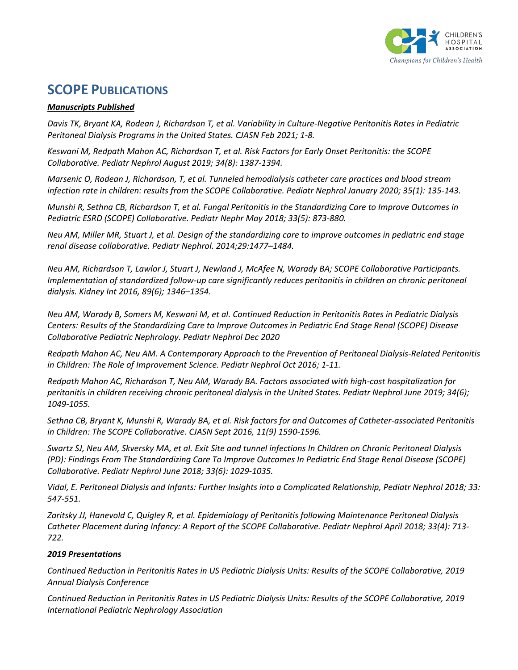

# **SCOPE PUBLICATIONS**

#### *Manuscripts Published*

*Davis TK, Bryant KA, Rodean J, Richardson T, et al. Variability in Culture-Negative Peritonitis Rates in Pediatric Peritoneal Dialysis Programs in the United States. CJASN Feb 2021; 1-8.*

*Keswani M, Redpath Mahon AC, Richardson T, et al. Risk Factors for Early Onset Peritonitis: the SCOPE Collaborative. Pediatr Nephrol August 2019; 34(8): 1387-1394.*

*Marsenic O, Rodean J, Richardson, T, et al. Tunneled hemodialysis catheter care practices and blood stream infection rate in children: results from the SCOPE Collaborative. Pediatr Nephrol January 2020; 35(1): 135-143.*

*Munshi R, Sethna CB, Richardson T, et al. Fungal Peritonitis in the Standardizing Care to Improve Outcomes in Pediatric ESRD (SCOPE) Collaborative. Pediatr Nephr May 2018; 33(5): 873-880.*

*Neu AM, Miller MR, Stuart J, et al. Design of the standardizing care to improve outcomes in pediatric end stage renal disease collaborative. Pediatr Nephrol. 2014;29:1477–1484.*

*Neu AM, Richardson T, Lawlor J, Stuart J, Newland J, McAfee N, Warady BA; SCOPE Collaborative Participants. Implementation of standardized follow-up care significantly reduces peritonitis in children on chronic peritoneal dialysis. Kidney Int 2016, 89(6); 1346–1354.*

*Neu AM, Warady B, Somers M, Keswani M, et al. Continued Reduction in Peritonitis Rates in Pediatric Dialysis Centers: Results of the Standardizing Care to Improve Outcomes in Pediatric End Stage Renal (SCOPE) Disease Collaborative Pediatric Nephrology. Pediatr Nephrol Dec 2020*

*Redpath Mahon AC, Neu AM. A Contemporary Approach to the Prevention of Peritoneal Dialysis-Related Peritonitis in Children: The Role of Improvement Science. Pediatr Nephrol Oct 2016; 1-11.*

*Redpath Mahon AC, Richardson T, Neu AM, Warady BA. Factors associated with high-cost hospitalization for peritonitis in children receiving chronic peritoneal dialysis in the United States. Pediatr Nephrol June 2019; 34(6); 1049-1055.*

*Sethna CB, Bryant K, Munshi R, Warady BA, et al. Risk factors for and Outcomes of Catheter-associated Peritonitis in Children: The SCOPE Collaborative. CJASN Sept 2016, 11(9) 1590-1596.*

*Swartz SJ, Neu AM, Skversky MA, et al. Exit Site and tunnel infections In Children on Chronic Peritoneal Dialysis (PD): Findings From The Standardizing Care To Improve Outcomes In Pediatric End Stage Renal Disease (SCOPE) Collaborative. Pediatr Nephrol June 2018; 33(6): 1029-1035.*

*Vidal, E. Peritoneal Dialysis and Infants: Further Insights into a Complicated Relationship, Pediatr Nephrol 2018; 33: 547-551.*

*Zaritsky JJ, Hanevold C, Quigley R, et al. Epidemiology of Peritonitis following Maintenance Peritoneal Dialysis Catheter Placement during Infancy: A Report of the SCOPE Collaborative. Pediatr Nephrol April 2018; 33(4): 713- 722.*

#### *2019 Presentations*

*Continued Reduction in Peritonitis Rates in US Pediatric Dialysis Units: Results of the SCOPE Collaborative, 2019 Annual Dialysis Conference* 

*Continued Reduction in Peritonitis Rates in US Pediatric Dialysis Units: Results of the SCOPE Collaborative, 2019 International Pediatric Nephrology Association*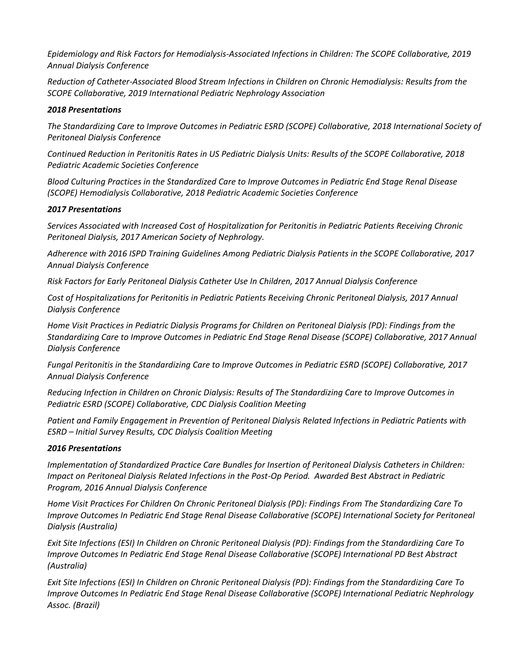*Epidemiology and Risk Factors for Hemodialysis-Associated Infections in Children: The SCOPE Collaborative, 2019 Annual Dialysis Conference* 

*Reduction of Catheter-Associated Blood Stream Infections in Children on Chronic Hemodialysis: Results from the SCOPE Collaborative, 2019 International Pediatric Nephrology Association*

## *2018 Presentations*

*The Standardizing Care to Improve Outcomes in Pediatric ESRD (SCOPE) Collaborative, 2018 International Society of Peritoneal Dialysis Conference* 

*Continued Reduction in Peritonitis Rates in US Pediatric Dialysis Units: Results of the SCOPE Collaborative, 2018 Pediatric Academic Societies Conference* 

*Blood Culturing Practices in the Standardized Care to Improve Outcomes in Pediatric End Stage Renal Disease (SCOPE) Hemodialysis Collaborative, 2018 Pediatric Academic Societies Conference* 

## *2017 Presentations*

*Services Associated with Increased Cost of Hospitalization for Peritonitis in Pediatric Patients Receiving Chronic Peritoneal Dialysis, 2017 American Society of Nephrology.* 

*Adherence with 2016 ISPD Training Guidelines Among Pediatric Dialysis Patients in the SCOPE Collaborative, 2017 Annual Dialysis Conference* 

*Risk Factors for Early Peritoneal Dialysis Catheter Use In Children, 2017 Annual Dialysis Conference* 

*Cost of Hospitalizations for Peritonitis in Pediatric Patients Receiving Chronic Peritoneal Dialysis, 2017 Annual Dialysis Conference* 

*Home Visit Practices in Pediatric Dialysis Programs for Children on Peritoneal Dialysis (PD): Findings from the Standardizing Care to Improve Outcomes in Pediatric End Stage Renal Disease (SCOPE) Collaborative, 2017 Annual Dialysis Conference* 

*Fungal Peritonitis in the Standardizing Care to Improve Outcomes in Pediatric ESRD (SCOPE) Collaborative, 2017 Annual Dialysis Conference*

*Reducing Infection in Children on Chronic Dialysis: Results of The Standardizing Care to Improve Outcomes in Pediatric ESRD (SCOPE) Collaborative, CDC Dialysis Coalition Meeting* 

*Patient and Family Engagement in Prevention of Peritoneal Dialysis Related Infections in Pediatric Patients with ESRD – Initial Survey Results, CDC Dialysis Coalition Meeting* 

#### *2016 Presentations*

*Implementation of Standardized Practice Care Bundles for Insertion of Peritoneal Dialysis Catheters in Children: Impact on Peritoneal Dialysis Related Infections in the Post-Op Period. Awarded Best Abstract in Pediatric Program, 2016 Annual Dialysis Conference* 

*Home Visit Practices For Children On Chronic Peritoneal Dialysis (PD): Findings From The Standardizing Care To Improve Outcomes In Pediatric End Stage Renal Disease Collaborative (SCOPE) International Society for Peritoneal Dialysis (Australia)* 

*Exit Site Infections (ESI) In Children on Chronic Peritoneal Dialysis (PD): Findings from the Standardizing Care To Improve Outcomes In Pediatric End Stage Renal Disease Collaborative (SCOPE) International PD Best Abstract (Australia)* 

*Exit Site Infections (ESI) In Children on Chronic Peritoneal Dialysis (PD): Findings from the Standardizing Care To Improve Outcomes In Pediatric End Stage Renal Disease Collaborative (SCOPE) International Pediatric Nephrology Assoc. (Brazil)*